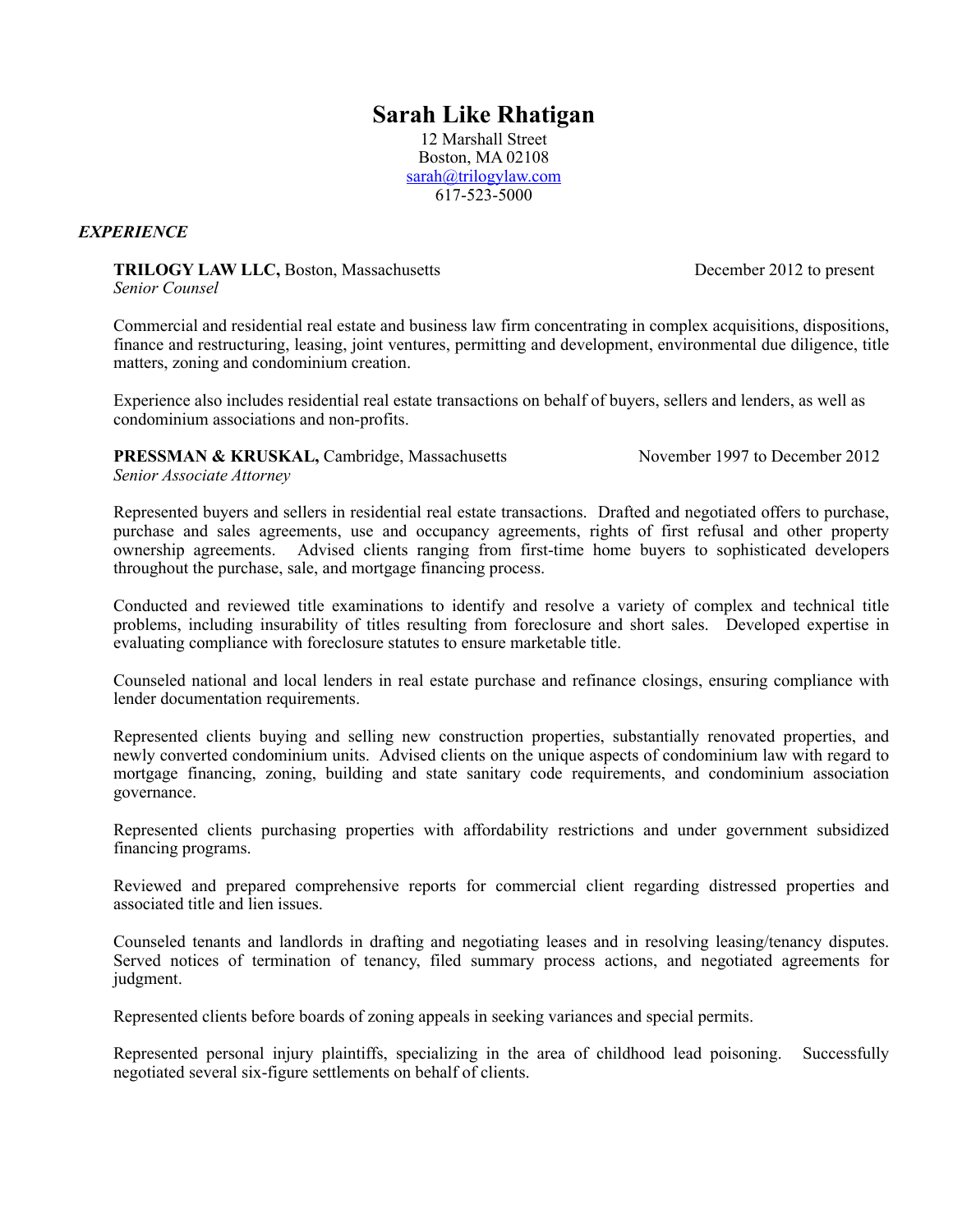# **Sarah Like Rhatigan**

12 Marshall Street Boston, MA 02108 [sarah@trilogylaw.com](mailto:sarah@trilogylaw.com) 617-523-5000

# *EXPERIENCE*

**TRILOGY LAW LLC, Boston, Massachusetts December 2012 to present** *Senior Counsel*

Commercial and residential real estate and business law firm concentrating in complex acquisitions, dispositions, finance and restructuring, leasing, joint ventures, permitting and development, environmental due diligence, title matters, zoning and condominium creation.

Experience also includes residential real estate transactions on behalf of buyers, sellers and lenders, as well as condominium associations and non-profits.

**PRESSMAN & KRUSKAL, Cambridge, Massachusetts November 1997 to December 2012** *Senior Associate Attorney*

Represented buyers and sellers in residential real estate transactions. Drafted and negotiated offers to purchase, purchase and sales agreements, use and occupancy agreements, rights of first refusal and other property ownership agreements. Advised clients ranging from first-time home buyers to sophisticated developers throughout the purchase, sale, and mortgage financing process.

Conducted and reviewed title examinations to identify and resolve a variety of complex and technical title problems, including insurability of titles resulting from foreclosure and short sales. Developed expertise in evaluating compliance with foreclosure statutes to ensure marketable title.

Counseled national and local lenders in real estate purchase and refinance closings, ensuring compliance with lender documentation requirements.

Represented clients buying and selling new construction properties, substantially renovated properties, and newly converted condominium units. Advised clients on the unique aspects of condominium law with regard to mortgage financing, zoning, building and state sanitary code requirements, and condominium association governance.

Represented clients purchasing properties with affordability restrictions and under government subsidized financing programs.

Reviewed and prepared comprehensive reports for commercial client regarding distressed properties and associated title and lien issues.

Counseled tenants and landlords in drafting and negotiating leases and in resolving leasing/tenancy disputes. Served notices of termination of tenancy, filed summary process actions, and negotiated agreements for judgment.

Represented clients before boards of zoning appeals in seeking variances and special permits.

Represented personal injury plaintiffs, specializing in the area of childhood lead poisoning. Successfully negotiated several six-figure settlements on behalf of clients.